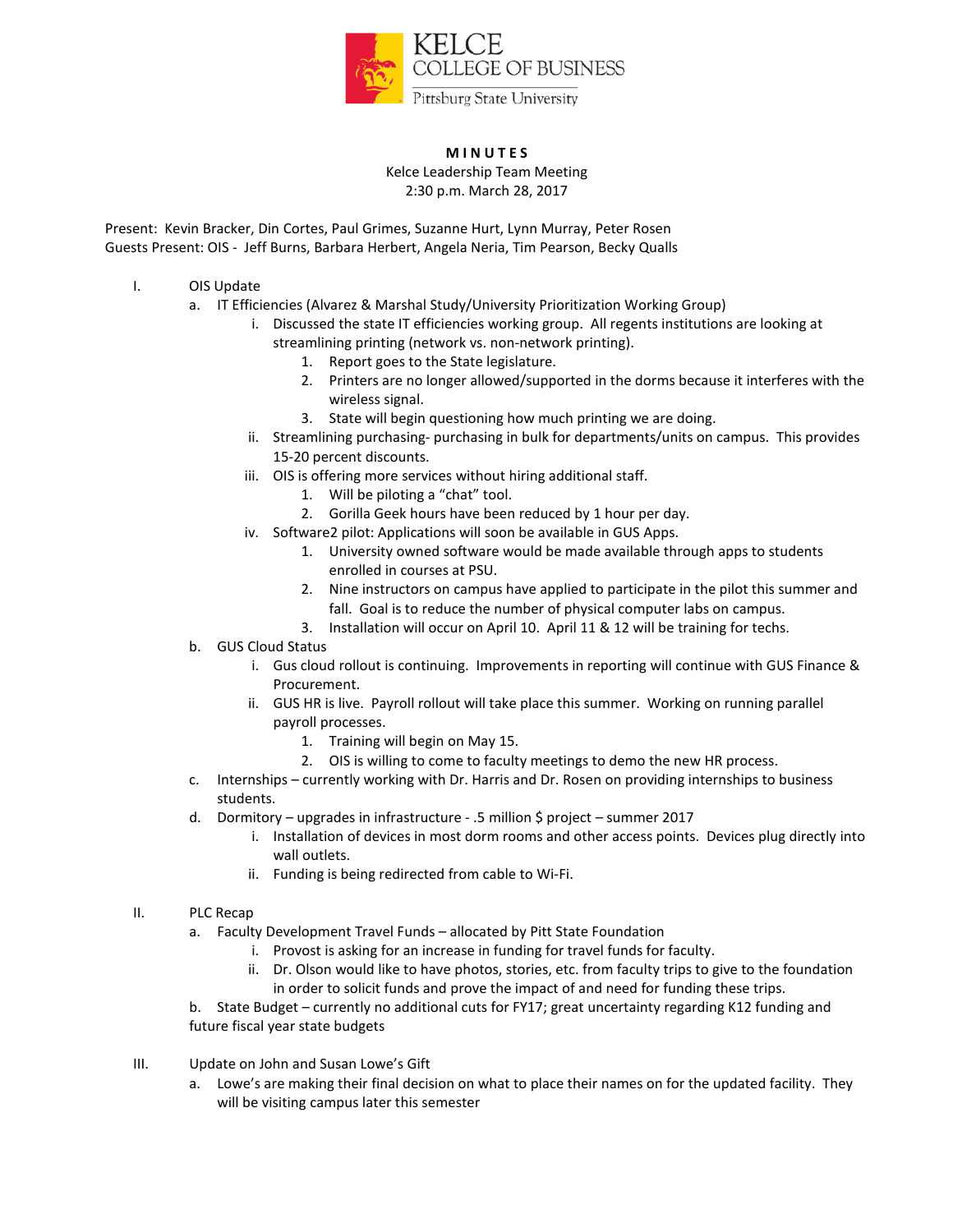

## **M I N U T E S**

Kelce Leadership Team Meeting 2:30 p.m. March 28, 2017

Present: Kevin Bracker, Din Cortes, Paul Grimes, Suzanne Hurt, Lynn Murray, Peter Rosen Guests Present: OIS - Jeff Burns, Barbara Herbert, Angela Neria, Tim Pearson, Becky Qualls

- I. OIS Update
	- a. IT Efficiencies (Alvarez & Marshal Study/University Prioritization Working Group)
		- i. Discussed the state IT efficiencies working group. All regents institutions are looking at streamlining printing (network vs. non-network printing).
			- 1. Report goes to the State legislature.
			- 2. Printers are no longer allowed/supported in the dorms because it interferes with the wireless signal.
			- 3. State will begin questioning how much printing we are doing.
		- ii. Streamlining purchasing- purchasing in bulk for departments/units on campus. This provides 15-20 percent discounts.
		- iii. OIS is offering more services without hiring additional staff.
			- 1. Will be piloting a "chat" tool.
			- 2. Gorilla Geek hours have been reduced by 1 hour per day.
		- iv. Software2 pilot: Applications will soon be available in GUS Apps.
			- 1. University owned software would be made available through apps to students enrolled in courses at PSU.
			- 2. Nine instructors on campus have applied to participate in the pilot this summer and fall. Goal is to reduce the number of physical computer labs on campus.
			- 3. Installation will occur on April 10. April 11 & 12 will be training for techs.
	- b. GUS Cloud Status
		- i. Gus cloud rollout is continuing. Improvements in reporting will continue with GUS Finance & Procurement.
		- ii. GUS HR is live. Payroll rollout will take place this summer. Working on running parallel payroll processes.
			- 1. Training will begin on May 15.
			- 2. OIS is willing to come to faculty meetings to demo the new HR process.
	- c. Internships currently working with Dr. Harris and Dr. Rosen on providing internships to business students.
	- d. Dormitory upgrades in infrastructure .5 million \$ project summer 2017
		- i. Installation of devices in most dorm rooms and other access points. Devices plug directly into wall outlets.
		- ii. Funding is being redirected from cable to Wi-Fi.
- II. PLC Recap
	- a. Faculty Development Travel Funds allocated by Pitt State Foundation
		- i. Provost is asking for an increase in funding for travel funds for faculty.
		- ii. Dr. Olson would like to have photos, stories, etc. from faculty trips to give to the foundation in order to solicit funds and prove the impact of and need for funding these trips.

b. State Budget – currently no additional cuts for FY17; great uncertainty regarding K12 funding and future fiscal year state budgets

- III. Update on John and Susan Lowe's Gift
	- a. Lowe's are making their final decision on what to place their names on for the updated facility. They will be visiting campus later this semester